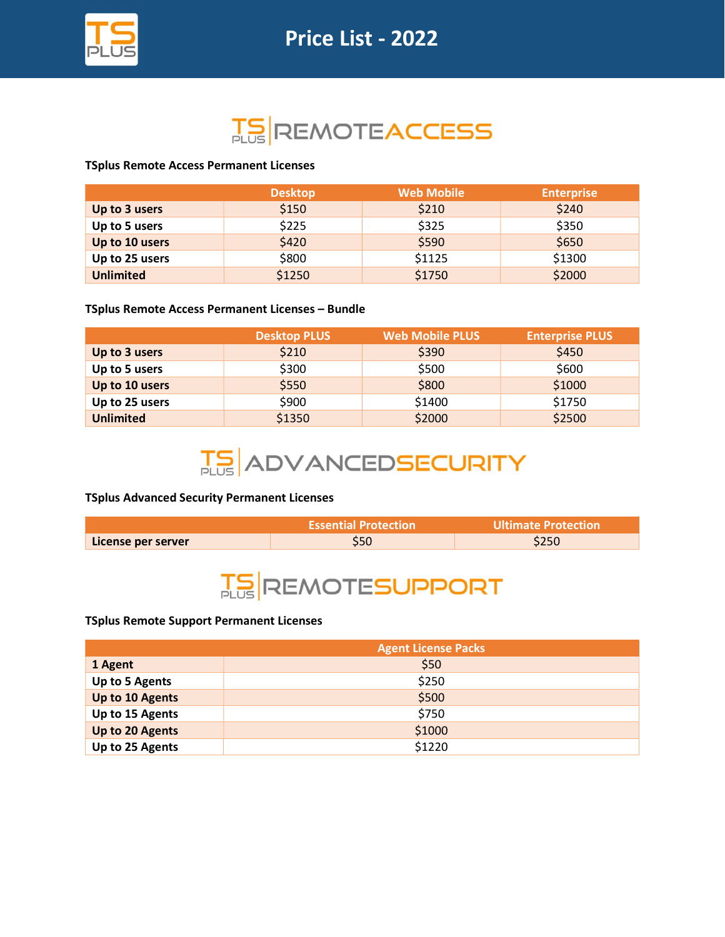

# **TS REMOTEACCESS**

## TSplus Remote Access Permanent Licenses

|                  | <b>Desktop</b> | <b>Web Mobile</b> | <b>Enterprise</b> |
|------------------|----------------|-------------------|-------------------|
| Up to 3 users    | \$150          | \$210             | \$240             |
| Up to 5 users    | \$225          | \$325             | \$350             |
| Up to 10 users   | \$420          | \$590             | \$650             |
| Up to 25 users   | \$800          | \$1125            | \$1300            |
| <b>Unlimited</b> | \$1250         | \$1750            | \$2000            |

## TSplus Remote Access Permanent Licenses – Bundle

|                  | <b>Desktop PLUS</b> | <b>Web Mobile PLUS</b> | <b>Enterprise PLUS</b> |
|------------------|---------------------|------------------------|------------------------|
| Up to 3 users    | \$210               | \$390                  | \$450                  |
| Up to 5 users    | \$300               | \$500                  | \$600                  |
| Up to 10 users   | \$550               | \$800                  | \$1000                 |
| Up to 25 users   | \$900               | \$1400                 | \$1750                 |
| <b>Unlimited</b> | \$1350              | \$2000                 | \$2500                 |

# **TS ADVANCEDSECURITY**

## TSplus Advanced Security Permanent Licenses

|                    | <b>Essential Protection</b> | Ultimate Protection |
|--------------------|-----------------------------|---------------------|
| License per server |                             | 5250                |



## TSplus Remote Support Permanent Licenses

|                 | <b>Agent License Packs</b> |
|-----------------|----------------------------|
| 1 Agent         | \$50                       |
| Up to 5 Agents  | \$250                      |
| Up to 10 Agents | \$500                      |
| Up to 15 Agents | \$750                      |
| Up to 20 Agents | \$1000                     |
| Up to 25 Agents | \$1220                     |